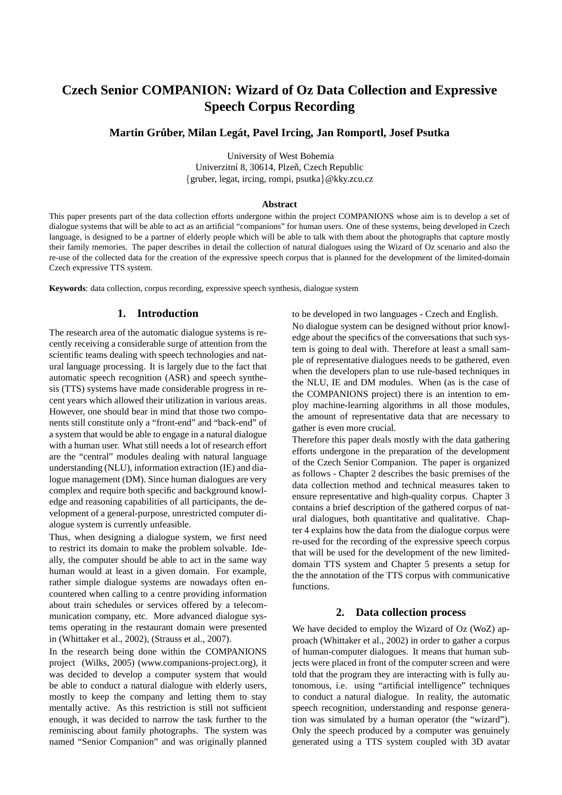# **Czech Senior COMPANION: Wizard of Oz Data Collection and Expressive Speech Corpus Recording**

# **Martin Grüber, Milan Legát, Pavel Ircing, Jan Romportl, Josef Psutka**

University of West Bohemia Univerzitní 8, 30614, Plzeň, Czech Republic {gruber, legat, ircing, rompi, psutka}@kky.zcu.cz

### **Abstract**

This paper presents part of the data collection efforts undergone within the project COMPANIONS whose aim is to develop a set of dialogue systems that will be able to act as an artificial "companions" for human users. One of these systems, being developed in Czech language, is designed to be a partner of elderly people which will be able to talk with them about the photographs that capture mostly their family memories. The paper describes in detail the collection of natural dialogues using the Wizard of Oz scenario and also the re-use of the collected data for the creation of the expressive speech corpus that is planned for the development of the limited-domain Czech expressive TTS system.

**Keywords**: data collection, corpus recording, expressive speech synthesis, dialogue system

### **1. Introduction**

The research area of the automatic dialogue systems is recently receiving a considerable surge of attention from the scientific teams dealing with speech technologies and natural language processing. It is largely due to the fact that automatic speech recognition (ASR) and speech synthesis (TTS) systems have made considerable progress in recent years which allowed their utilization in various areas. However, one should bear in mind that those two components still constitute only a "front-end" and "back-end" of a system that would be able to engage in a natural dialogue with a human user. What still needs a lot of research effort are the "central" modules dealing with natural language understanding (NLU), information extraction (IE) and dialogue management (DM). Since human dialogues are very complex and require both specific and background knowledge and reasoning capabilities of all participants, the development of a general-purpose, unrestricted computer dialogue system is currently unfeasible.

Thus, when designing a dialogue system, we first need to restrict its domain to make the problem solvable. Ideally, the computer should be able to act in the same way human would at least in a given domain. For example, rather simple dialogue systems are nowadays often encountered when calling to a centre providing information about train schedules or services offered by a telecommunication company, etc. More advanced dialogue systems operating in the restaurant domain were presented in (Whittaker et al., 2002), (Strauss et al., 2007).

In the research being done within the COMPANIONS project (Wilks, 2005) (www.companions-project.org), it was decided to develop a computer system that would be able to conduct a natural dialogue with elderly users, mostly to keep the company and letting them to stay mentally active. As this restriction is still not sufficient enough, it was decided to narrow the task further to the reminiscing about family photographs. The system was named "Senior Companion" and was originally planned to be developed in two languages - Czech and English. No dialogue system can be designed without prior knowledge about the specifics of the conversations that such system is going to deal with. Therefore at least a small sample of representative dialogues needs to be gathered, even when the developers plan to use rule-based techniques in the NLU, IE and DM modules. When (as is the case of the COMPANIONS project) there is an intention to employ machine-learning algorithms in all those modules, the amount of representative data that are necessary to gather is even more crucial.

Therefore this paper deals mostly with the data gathering efforts undergone in the preparation of the development of the Czech Senior Companion. The paper is organized as follows - Chapter 2 describes the basic premises of the data collection method and technical measures taken to ensure representative and high-quality corpus. Chapter 3 contains a brief description of the gathered corpus of natural dialogues, both quantitative and qualitative. Chapter 4 explains how the data from the dialogue corpus were re-used for the recording of the expressive speech corpus that will be used for the development of the new limiteddomain TTS system and Chapter 5 presents a setup for the the annotation of the TTS corpus with communicative functions.

### **2. Data collection process**

We have decided to employ the Wizard of Oz (WoZ) approach (Whittaker et al., 2002) in order to gather a corpus of human-computer dialogues. It means that human subjects were placed in front of the computer screen and were told that the program they are interacting with is fully autonomous, i.e. using "artificial intelligence" techniques to conduct a natural dialogue. In reality, the automatic speech recognition, understanding and response generation was simulated by a human operator (the "wizard"). Only the speech produced by a computer was genuinely generated using a TTS system coupled with 3D avatar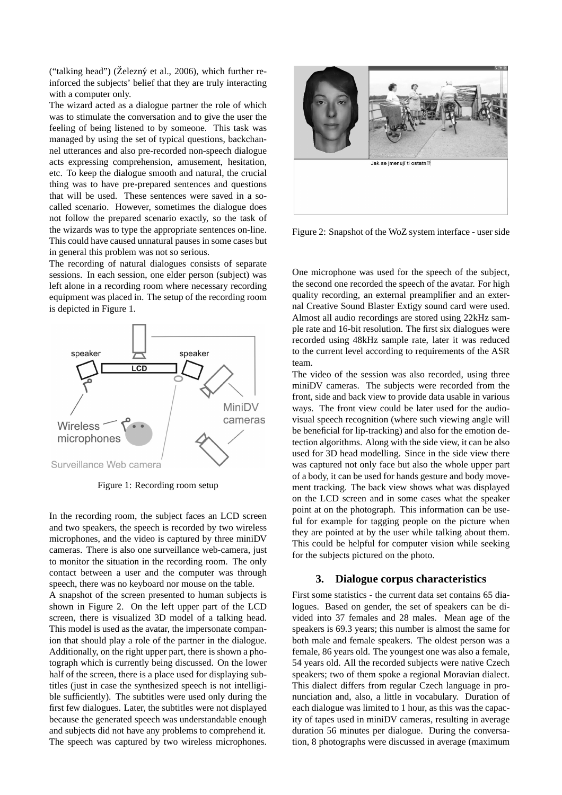("talking head") ( $\check{Z}$ elezný et al., 2006), which further reinforced the subjects' belief that they are truly interacting with a computer only.

The wizard acted as a dialogue partner the role of which was to stimulate the conversation and to give the user the feeling of being listened to by someone. This task was managed by using the set of typical questions, backchannel utterances and also pre-recorded non-speech dialogue acts expressing comprehension, amusement, hesitation, etc. To keep the dialogue smooth and natural, the crucial thing was to have pre-prepared sentences and questions that will be used. These sentences were saved in a socalled scenario. However, sometimes the dialogue does not follow the prepared scenario exactly, so the task of the wizards was to type the appropriate sentences on-line. This could have caused unnatural pauses in some cases but in general this problem was not so serious.

The recording of natural dialogues consists of separate sessions. In each session, one elder person (subject) was left alone in a recording room where necessary recording equipment was placed in. The setup of the recording room is depicted in Figure 1.



Figure 1: Recording room setup

In the recording room, the subject faces an LCD screen and two speakers, the speech is recorded by two wireless microphones, and the video is captured by three miniDV cameras. There is also one surveillance web-camera, just to monitor the situation in the recording room. The only contact between a user and the computer was through speech, there was no keyboard nor mouse on the table.

A snapshot of the screen presented to human subjects is shown in Figure 2. On the left upper part of the LCD screen, there is visualized 3D model of a talking head. This model is used as the avatar, the impersonate companion that should play a role of the partner in the dialogue. Additionally, on the right upper part, there is shown a photograph which is currently being discussed. On the lower half of the screen, there is a place used for displaying subtitles (just in case the synthesized speech is not intelligible sufficiently). The subtitles were used only during the first few dialogues. Later, the subtitles were not displayed because the generated speech was understandable enough and subjects did not have any problems to comprehend it. The speech was captured by two wireless microphones.



Figure 2: Snapshot of the WoZ system interface - user side

One microphone was used for the speech of the subject, the second one recorded the speech of the avatar. For high quality recording, an external preamplifier and an external Creative Sound Blaster Extigy sound card were used. Almost all audio recordings are stored using 22kHz sample rate and 16-bit resolution. The first six dialogues were recorded using 48kHz sample rate, later it was reduced to the current level according to requirements of the ASR team.

The video of the session was also recorded, using three miniDV cameras. The subjects were recorded from the front, side and back view to provide data usable in various ways. The front view could be later used for the audiovisual speech recognition (where such viewing angle will be beneficial for lip-tracking) and also for the emotion detection algorithms. Along with the side view, it can be also used for 3D head modelling. Since in the side view there was captured not only face but also the whole upper part of a body, it can be used for hands gesture and body movement tracking. The back view shows what was displayed on the LCD screen and in some cases what the speaker point at on the photograph. This information can be useful for example for tagging people on the picture when they are pointed at by the user while talking about them. This could be helpful for computer vision while seeking for the subjects pictured on the photo.

### **3. Dialogue corpus characteristics**

First some statistics - the current data set contains 65 dialogues. Based on gender, the set of speakers can be divided into 37 females and 28 males. Mean age of the speakers is 69.3 years; this number is almost the same for both male and female speakers. The oldest person was a female, 86 years old. The youngest one was also a female, 54 years old. All the recorded subjects were native Czech speakers; two of them spoke a regional Moravian dialect. This dialect differs from regular Czech language in pronunciation and, also, a little in vocabulary. Duration of each dialogue was limited to 1 hour, as this was the capacity of tapes used in miniDV cameras, resulting in average duration 56 minutes per dialogue. During the conversation, 8 photographs were discussed in average (maximum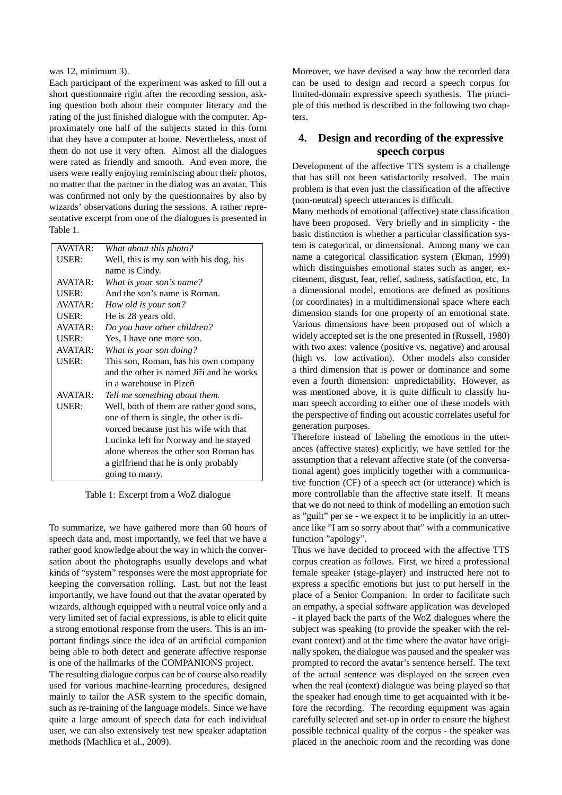was 12, minimum 3).

Each participant of the experiment was asked to fill out a short questionnaire right after the recording session, asking question both about their computer literacy and the rating of the just finished dialogue with the computer. Approximately one half of the subjects stated in this form that they have a computer at home. Nevertheless, most of them do not use it very often. Almost all the dialogues were rated as friendly and smooth. And even more, the users were really enjoying reminiscing about their photos, no matter that the partner in the dialog was an avatar. This was confirmed not only by the questionnaires by also by wizards' observations during the sessions. A rather representative excerpt from one of the dialogues is presented in Table 1.

| <b>AVATAR:</b> | What about this photo?                   |
|----------------|------------------------------------------|
| USER:          | Well, this is my son with his dog, his   |
|                | name is Cindy.                           |
| AVATAR:        | What is your son's name?                 |
| USER:          | And the son's name is Roman.             |
| <b>AVATAR:</b> | How old is your son?                     |
| USER:          | He is 28 years old.                      |
| <b>AVATAR:</b> | Do you have other children?              |
| USER:          | Yes, I have one more son.                |
| AVATAR:        | What is your son doing?                  |
| USER:          | This son, Roman, has his own company     |
|                | and the other is named Jiří and he works |
|                | in a warehouse in Plzeň                  |
| AVATAR:        | Tell me something about them.            |
| USER:          | Well, both of them are rather good sons, |
|                | one of them is single, the other is di-  |
|                | vorced because just his wife with that   |
|                | Lucinka left for Norway and he stayed    |
|                | alone whereas the other son Roman has    |
|                | a girlfriend that he is only probably    |
|                | going to marry.                          |

Table 1: Excerpt from a WoZ dialogue

To summarize, we have gathered more than 60 hours of speech data and, most importantly, we feel that we have a rather good knowledge about the way in which the conversation about the photographs usually develops and what kinds of "system" responses were the most appropriate for keeping the conversation rolling. Last, but not the least importantly, we have found out that the avatar operated by wizards, although equipped with a neutral voice only and a very limited set of facial expressions, is able to elicit quite a strong emotional response from the users. This is an important findings since the idea of an artificial companion being able to both detect and generate affective response is one of the hallmarks of the COMPANIONS project.

The resulting dialogue corpus can be of course also readily used for various machine-learning procedures, designed mainly to tailor the ASR system to the specific domain, such as re-training of the language models. Since we have quite a large amount of speech data for each individual user, we can also extensively test new speaker adaptation methods (Machlica et al., 2009).

Moreover, we have devised a way how the recorded data can be used to design and record a speech corpus for limited-domain expressive speech synthesis. The principle of this method is described in the following two chapters.

# **4. Design and recording of the expressive speech corpus**

Development of the affective TTS system is a challenge that has still not been satisfactorily resolved. The main problem is that even just the classification of the affective (non-neutral) speech utterances is difficult.

Many methods of emotional (affective) state classification have been proposed. Very briefly and in simplicity - the basic distinction is whether a particular classification system is categorical, or dimensional. Among many we can name a categorical classification system (Ekman, 1999) which distinguishes emotional states such as anger, excitement, disgust, fear, relief, sadness, satisfaction, etc. In a dimensional model, emotions are defined as positions (or coordinates) in a multidimensional space where each dimension stands for one property of an emotional state. Various dimensions have been proposed out of which a widely accepted set is the one presented in (Russell, 1980) with two axes: valence (positive vs. negative) and arousal (high vs. low activation). Other models also consider a third dimension that is power or dominance and some even a fourth dimension: unpredictability. However, as was mentioned above, it is quite difficult to classify human speech according to either one of these models with the perspective of finding out acoustic correlates useful for generation purposes.

Therefore instead of labeling the emotions in the utterances (affective states) explicitly, we have settled for the assumption that a relevant affective state (of the conversational agent) goes implicitly together with a communicative function (CF) of a speech act (or utterance) which is more controllable than the affective state itself. It means that we do not need to think of modelling an emotion such as "guilt" per se - we expect it to be implicitly in an utterance like "I am so sorry about that" with a communicative function "apology".

Thus we have decided to proceed with the affective TTS corpus creation as follows. First, we hired a professional female speaker (stage-player) and instructed here not to express a specific emotions but just to put herself in the place of a Senior Companion. In order to facilitate such an empathy, a special software application was developed - it played back the parts of the WoZ dialogues where the subject was speaking (to provide the speaker with the relevant context) and at the time where the avatar have originally spoken, the dialogue was paused and the speaker was prompted to record the avatar's sentence herself. The text of the actual sentence was displayed on the screen even when the real (context) dialogue was being played so that the speaker had enough time to get acquainted with it before the recording. The recording equipment was again carefully selected and set-up in order to ensure the highest possible technical quality of the corpus - the speaker was placed in the anechoic room and the recording was done